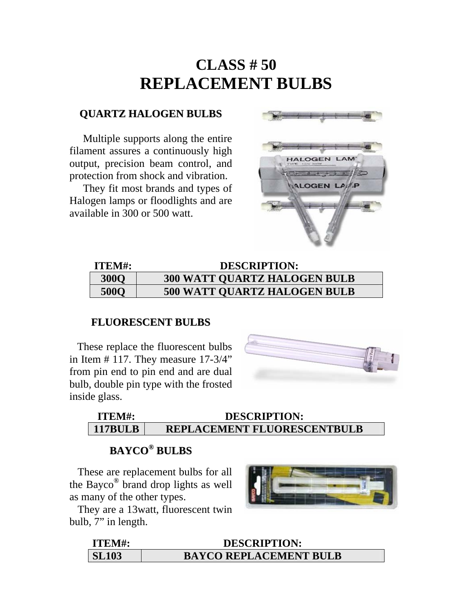## **CLASS # 50 REPLACEMENT BULBS**

#### **QUARTZ HALOGEN BULBS**

Multiple supports along the entire filament assures a continuously high output, precision beam control, and protection from shock and vibration.

 They fit most brands and types of Halogen lamps or floodlights and are available in 300 or 500 watt.



| <b>ITEM#:</b> | <b>DESCRIPTION:</b>                 |
|---------------|-------------------------------------|
| <b>300O</b>   | <b>300 WATT QUARTZ HALOGEN BULB</b> |
| <b>500O</b>   | <b>500 WATT QUARTZ HALOGEN BULB</b> |

#### **FLUORESCENT BULBS**

These replace the fluorescent bulbs in Item  $# 117$ . They measure  $17-3/4"$ from pin end to pin end and are dual bulb, double pin type with the frosted inside glass.



#### **ITEM#: DESCRIPTION: 117BULB REPLACEMENT FLUORESCENTBULB**

## **BAYCO® BULBS**

 These are replacement bulbs for all the Bayco® brand drop lights as well as many of the other types.

 They are a 13watt, fluorescent twin bulb, 7" in length.



| ITEM#:       | <b>DESCRIPTION:</b>           |
|--------------|-------------------------------|
| <b>SL103</b> | <b>BAYCO REPLACEMENT BULB</b> |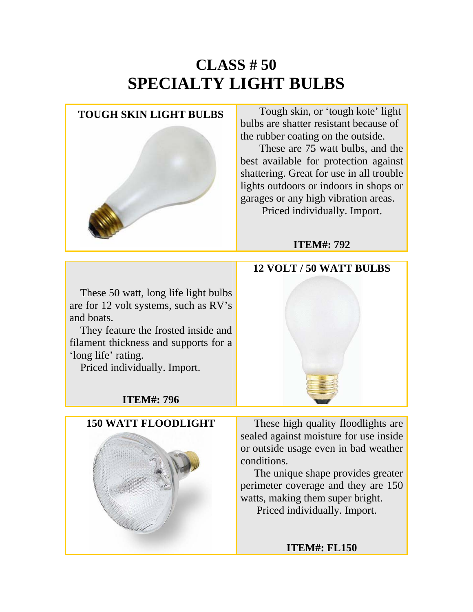# **CLASS # 50 SPECIALTY LIGHT BULBS**

**TOUGH SKIN LIGHT BULBS** Tough skin, or 'tough kote' light bulbs are shatter resistant because of the rubber coating on the outside.

> These are 75 watt bulbs, and the best available for protection against shattering. Great for use in all trouble lights outdoors or indoors in shops or garages or any high vibration areas. Priced individually. Import.

### **ITEM#: 792**

### These 50 watt, long life light bulbs are for 12 volt systems, such as RV's and boats.

 They feature the frosted inside and filament thickness and supports for a 'long life' rating.

Priced individually. Import.

## **ITEM#: 796**



**150 WATT FLOODLIGHT** These high quality floodlights are sealed against moisture for use inside or outside usage even in bad weather conditions.

> The unique shape provides greater perimeter coverage and they are 150 watts, making them super bright. Priced individually. Import.

> > **ITEM#: FL150**

## **12 VOLT / 50 WATT BULBS**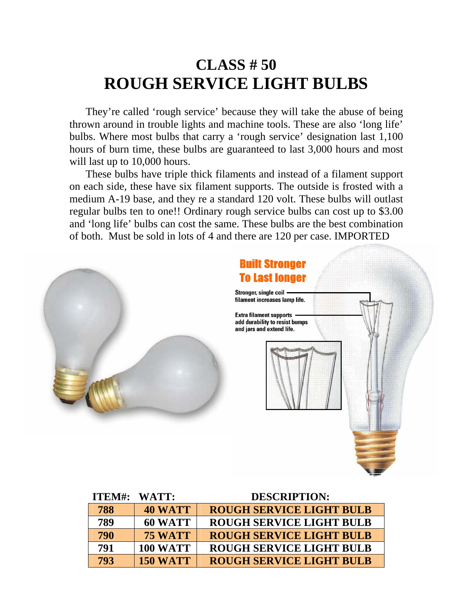# **CLASS # 50 ROUGH SERVICE LIGHT BULBS**

 They're called 'rough service' because they will take the abuse of being thrown around in trouble lights and machine tools. These are also 'long life' bulbs. Where most bulbs that carry a 'rough service' designation last 1,100 hours of burn time, these bulbs are guaranteed to last 3,000 hours and most will last up to 10,000 hours.

 These bulbs have triple thick filaments and instead of a filament support on each side, these have six filament supports. The outside is frosted with a medium A-19 base, and they re a standard 120 volt. These bulbs will outlast regular bulbs ten to one!! Ordinary rough service bulbs can cost up to \$3.00 and 'long life' bulbs can cost the same. These bulbs are the best combination of both. Must be sold in lots of 4 and there are 120 per case. IMPORTED



|     | ITEM#: WATT:    | <b>DESCRIPTION:</b>             |
|-----|-----------------|---------------------------------|
| 788 | <b>40 WATT</b>  | <b>ROUGH SERVICE LIGHT BULB</b> |
| 789 | 60 WATT         | ROUGH SERVICE LIGHT BULB        |
| 790 | <b>75 WATT</b>  | <b>ROUGH SERVICE LIGHT BULB</b> |
| 791 | <b>100 WATT</b> | <b>ROUGH SERVICE LIGHT BULB</b> |
| 793 | <b>150 WATT</b> | <b>ROUGH SERVICE LIGHT BULB</b> |